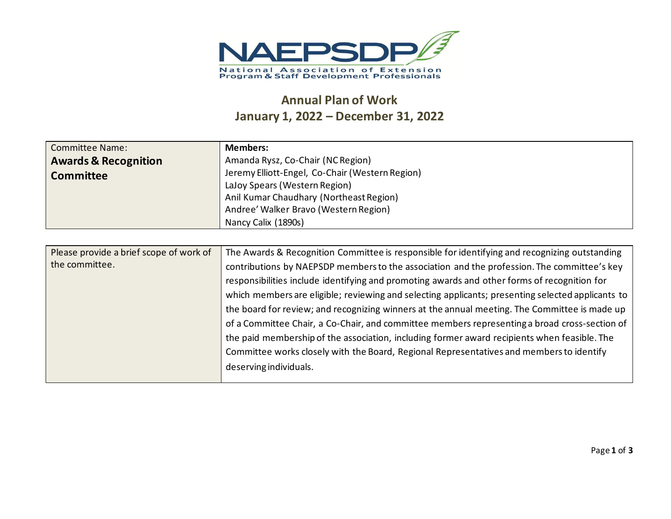

## **Annual Plan of Work January 1, 2022 – December 31, 2022**

| <b>Committee Name:</b><br><b>Awards &amp; Recognition</b><br><b>Committee</b> | <b>Members:</b><br>Amanda Rysz, Co-Chair (NC Region)<br>Jeremy Elliott-Engel, Co-Chair (Western Region)<br>LaJoy Spears (Western Region)<br>Anil Kumar Chaudhary (Northeast Region)<br>Andree' Walker Bravo (Western Region)<br>Nancy Calix (1890s)                                                                                                                                                                                                                                                                                                                                                                                                                                                                                                                                                                       |
|-------------------------------------------------------------------------------|---------------------------------------------------------------------------------------------------------------------------------------------------------------------------------------------------------------------------------------------------------------------------------------------------------------------------------------------------------------------------------------------------------------------------------------------------------------------------------------------------------------------------------------------------------------------------------------------------------------------------------------------------------------------------------------------------------------------------------------------------------------------------------------------------------------------------|
|                                                                               |                                                                                                                                                                                                                                                                                                                                                                                                                                                                                                                                                                                                                                                                                                                                                                                                                           |
| Please provide a brief scope of work of<br>the committee.                     | The Awards & Recognition Committee is responsible for identifying and recognizing outstanding<br>contributions by NAEPSDP members to the association and the profession. The committee's key<br>responsibilities include identifying and promoting awards and other forms of recognition for<br>which members are eligible; reviewing and selecting applicants; presenting selected applicants to<br>the board for review; and recognizing winners at the annual meeting. The Committee is made up<br>of a Committee Chair, a Co-Chair, and committee members representing a broad cross-section of<br>the paid membership of the association, including former award recipients when feasible. The<br>Committee works closely with the Board, Regional Representatives and members to identify<br>deserving individuals. |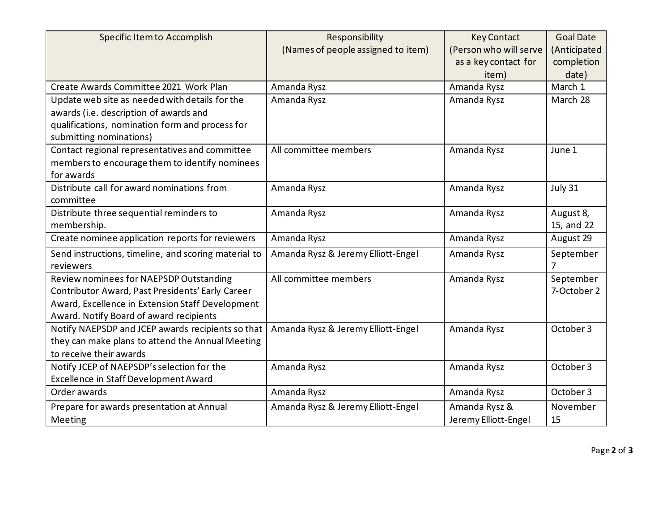| Specific Item to Accomplish                          | Responsibility                     | <b>Key Contact</b>     | <b>Goal Date</b> |
|------------------------------------------------------|------------------------------------|------------------------|------------------|
|                                                      | (Names of people assigned to item) | (Person who will serve | (Anticipated     |
|                                                      |                                    | as a key contact for   | completion       |
|                                                      |                                    | item)                  | date)            |
| Create Awards Committee 2021 Work Plan               | Amanda Rysz                        | Amanda Rysz            | March 1          |
| Update web site as needed with details for the       | Amanda Rysz                        | Amanda Rysz            | March 28         |
| awards (i.e. description of awards and               |                                    |                        |                  |
| qualifications, nomination form and process for      |                                    |                        |                  |
| submitting nominations)                              |                                    |                        |                  |
| Contact regional representatives and committee       | All committee members              | Amanda Rysz            | June 1           |
| members to encourage them to identify nominees       |                                    |                        |                  |
| for awards                                           |                                    |                        |                  |
| Distribute call for award nominations from           | Amanda Rysz                        | Amanda Rysz            | July 31          |
| committee                                            |                                    |                        |                  |
| Distribute three sequential reminders to             | Amanda Rysz                        | Amanda Rysz            | August 8,        |
| membership.                                          |                                    |                        | 15, and 22       |
| Create nominee application reports for reviewers     | Amanda Rysz                        | Amanda Rysz            | August 29        |
| Send instructions, timeline, and scoring material to | Amanda Rysz & Jeremy Elliott-Engel | Amanda Rysz            | September        |
| reviewers                                            |                                    |                        | 7                |
| Review nominees for NAEPSDP Outstanding              | All committee members              | Amanda Rysz            | September        |
| Contributor Award, Past Presidents' Early Career     |                                    |                        | 7-October 2      |
| Award, Excellence in Extension Staff Development     |                                    |                        |                  |
| Award. Notify Board of award recipients              |                                    |                        |                  |
| Notify NAEPSDP and JCEP awards recipients so that    | Amanda Rysz & Jeremy Elliott-Engel | Amanda Rysz            | October 3        |
| they can make plans to attend the Annual Meeting     |                                    |                        |                  |
| to receive their awards                              |                                    |                        |                  |
| Notify JCEP of NAEPSDP's selection for the           | Amanda Rysz                        | Amanda Rysz            | October 3        |
| Excellence in Staff Development Award                |                                    |                        |                  |
| Order awards                                         | Amanda Rysz                        | Amanda Rysz            | October 3        |
| Prepare for awards presentation at Annual            | Amanda Rysz & Jeremy Elliott-Engel | Amanda Rysz &          | November         |
| Meeting                                              |                                    | Jeremy Elliott-Engel   | 15               |